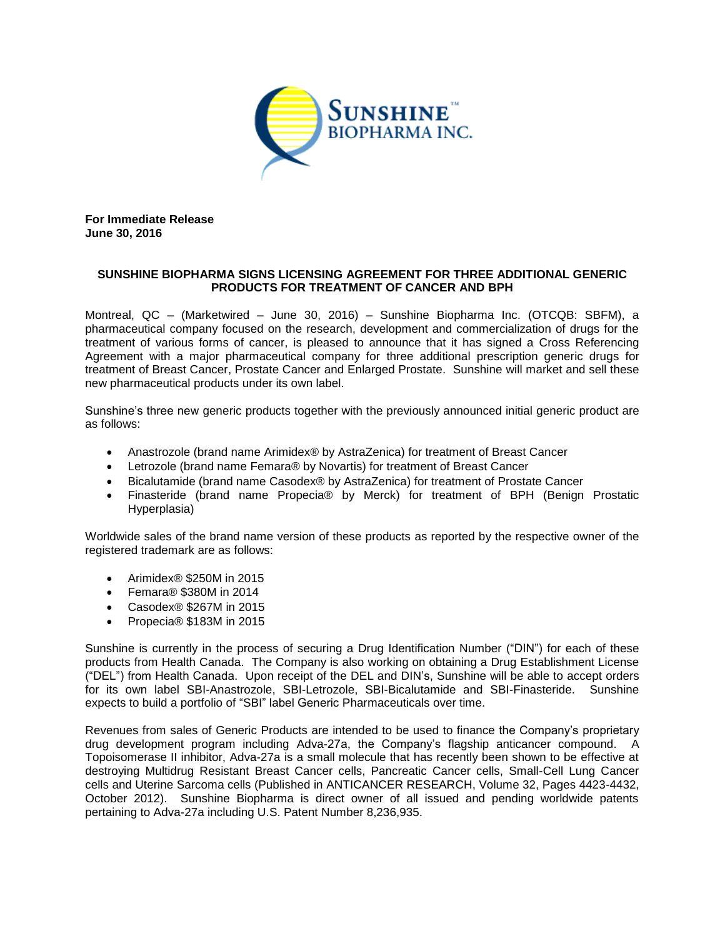

**For Immediate Release June 30, 2016**

## **SUNSHINE BIOPHARMA SIGNS LICENSING AGREEMENT FOR THREE ADDITIONAL GENERIC PRODUCTS FOR TREATMENT OF CANCER AND BPH**

Montreal, QC – (Marketwired – June 30, 2016) – Sunshine Biopharma Inc. (OTCQB: SBFM), a pharmaceutical company focused on the research, development and commercialization of drugs for the treatment of various forms of cancer, is pleased to announce that it has signed a Cross Referencing Agreement with a major pharmaceutical company for three additional prescription generic drugs for treatment of Breast Cancer, Prostate Cancer and Enlarged Prostate. Sunshine will market and sell these new pharmaceutical products under its own label.

Sunshine's three new generic products together with the previously announced initial generic product are as follows:

- Anastrozole (brand name Arimidex® by AstraZenica) for treatment of Breast Cancer
- Letrozole (brand name Femara® by Novartis) for treatment of Breast Cancer
- Bicalutamide (brand name Casodex® by AstraZenica) for treatment of Prostate Cancer
- Finasteride (brand name Propecia® by Merck) for treatment of BPH (Benign Prostatic Hyperplasia)

Worldwide sales of the brand name version of these products as reported by the respective owner of the registered trademark are as follows:

- Arimidex® \$250M in 2015
- Femara® \$380M in 2014
- Casodex® \$267M in 2015
- Propecia® \$183M in 2015

Sunshine is currently in the process of securing a Drug Identification Number ("DIN") for each of these products from Health Canada. The Company is also working on obtaining a Drug Establishment License ("DEL") from Health Canada. Upon receipt of the DEL and DIN's, Sunshine will be able to accept orders for its own label SBI-Anastrozole, SBI-Letrozole, SBI-Bicalutamide and SBI-Finasteride. Sunshine expects to build a portfolio of "SBI" label Generic Pharmaceuticals over time.

Revenues from sales of Generic Products are intended to be used to finance the Company's proprietary drug development program including Adva-27a, the Company's flagship anticancer compound. A Topoisomerase II inhibitor, Adva-27a is a small molecule that has recently been shown to be effective at destroying Multidrug Resistant Breast Cancer cells, Pancreatic Cancer cells, Small-Cell Lung Cancer cells and Uterine Sarcoma cells (Published in ANTICANCER RESEARCH, Volume 32, Pages 4423-4432, October 2012). Sunshine Biopharma is direct owner of all issued and pending worldwide patents pertaining to Adva-27a including U.S. Patent Number 8,236,935.